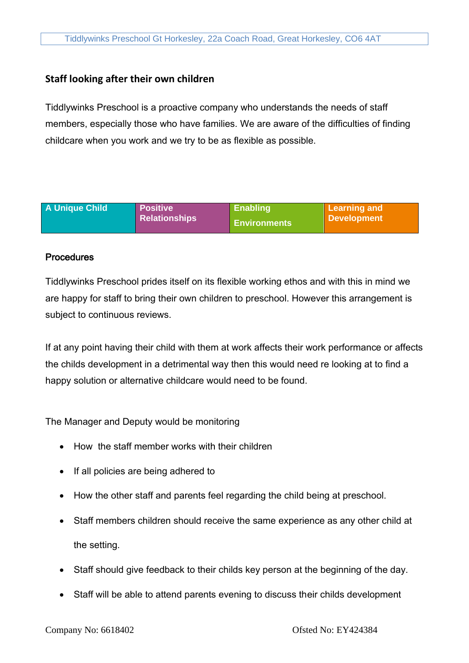## **Staff looking after their own children**

Tiddlywinks Preschool is a proactive company who understands the needs of staff members, especially those who have families. We are aware of the difficulties of finding childcare when you work and we try to be as flexible as possible.

| <b>A Unique Child</b> | <b>Positive</b>      | <b>Enabling</b>     | Learning and       |
|-----------------------|----------------------|---------------------|--------------------|
|                       | <b>Relationships</b> | <b>Environments</b> | <b>Development</b> |

## **Procedures**

Tiddlywinks Preschool prides itself on its flexible working ethos and with this in mind we are happy for staff to bring their own children to preschool. However this arrangement is subject to continuous reviews.

If at any point having their child with them at work affects their work performance or affects the childs development in a detrimental way then this would need re looking at to find a happy solution or alternative childcare would need to be found.

The Manager and Deputy would be monitoring

- How the staff member works with their children
- If all policies are being adhered to
- How the other staff and parents feel regarding the child being at preschool.
- Staff members children should receive the same experience as any other child at the setting.
- Staff should give feedback to their childs key person at the beginning of the day.
- Staff will be able to attend parents evening to discuss their childs development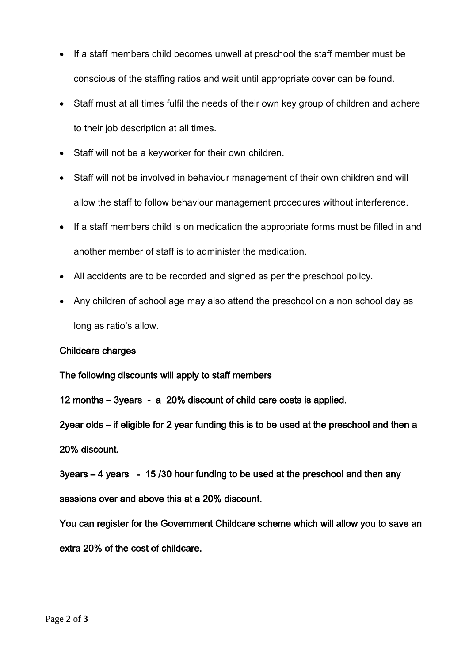- If a staff members child becomes unwell at preschool the staff member must be conscious of the staffing ratios and wait until appropriate cover can be found.
- Staff must at all times fulfil the needs of their own key group of children and adhere to their job description at all times.
- Staff will not be a keyworker for their own children.
- Staff will not be involved in behaviour management of their own children and will allow the staff to follow behaviour management procedures without interference.
- If a staff members child is on medication the appropriate forms must be filled in and another member of staff is to administer the medication.
- All accidents are to be recorded and signed as per the preschool policy.
- Any children of school age may also attend the preschool on a non school day as long as ratio's allow.

## Childcare charges

The following discounts will apply to staff members

12 months – 3years - a 20% discount of child care costs is applied.

2year olds – if eligible for 2 year funding this is to be used at the preschool and then a 20% discount.

3years – 4 years - 15 /30 hour funding to be used at the preschool and then any sessions over and above this at a 20% discount.

You can register for the Government Childcare scheme which will allow you to save an extra 20% of the cost of childcare.